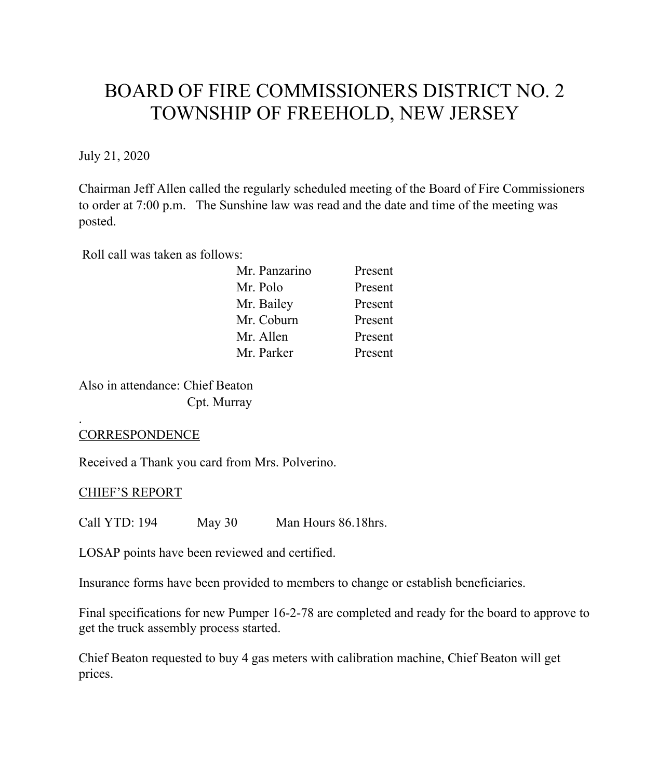# BOARD OF FIRE COMMISSIONERS DISTRICT NO. 2 TOWNSHIP OF FREEHOLD, NEW JERSEY

July 21, 2020

Chairman Jeff Allen called the regularly scheduled meeting of the Board of Fire Commissioners to order at 7:00 p.m. The Sunshine law was read and the date and time of the meeting was posted.

Roll call was taken as follows:

| Present |
|---------|
| Present |
| Present |
| Present |
| Present |
| Present |
|         |

Also in attendance: Chief Beaton Cpt. Murray

### **CORRESPONDENCE**

.

Received a Thank you card from Mrs. Polverino.

### CHIEF'S REPORT

Call YTD: 194 May 30 Man Hours 86.18hrs.

LOSAP points have been reviewed and certified.

Insurance forms have been provided to members to change or establish beneficiaries.

Final specifications for new Pumper 16-2-78 are completed and ready for the board to approve to get the truck assembly process started.

Chief Beaton requested to buy 4 gas meters with calibration machine, Chief Beaton will get prices.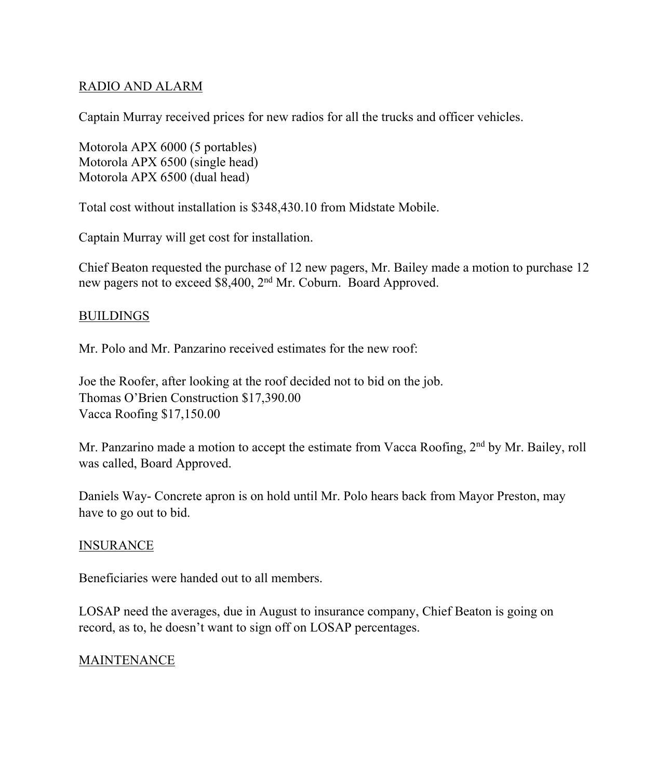## RADIO AND ALARM

Captain Murray received prices for new radios for all the trucks and officer vehicles.

Motorola APX 6000 (5 portables) Motorola APX 6500 (single head) Motorola APX 6500 (dual head)

Total cost without installation is \$348,430.10 from Midstate Mobile.

Captain Murray will get cost for installation.

Chief Beaton requested the purchase of 12 new pagers, Mr. Bailey made a motion to purchase 12 new pagers not to exceed \$8,400, 2nd Mr. Coburn. Board Approved.

# BUILDINGS

Mr. Polo and Mr. Panzarino received estimates for the new roof:

Joe the Roofer, after looking at the roof decided not to bid on the job. Thomas O'Brien Construction \$17,390.00 Vacca Roofing \$17,150.00

Mr. Panzarino made a motion to accept the estimate from Vacca Roofing, 2<sup>nd</sup> by Mr. Bailey, roll was called, Board Approved.

Daniels Way- Concrete apron is on hold until Mr. Polo hears back from Mayor Preston, may have to go out to bid.

### INSURANCE

Beneficiaries were handed out to all members.

LOSAP need the averages, due in August to insurance company, Chief Beaton is going on record, as to, he doesn't want to sign off on LOSAP percentages.

### MAINTENANCE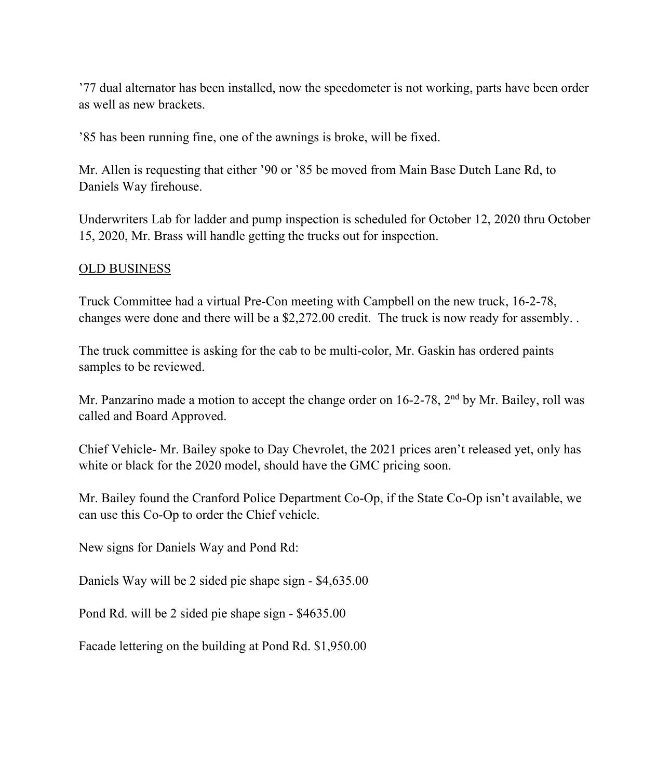'77 dual alternator has been installed, now the speedometer is not working, parts have been order as well as new brackets.

'85 has been running fine, one of the awnings is broke, will be fixed.

Mr. Allen is requesting that either '90 or '85 be moved from Main Base Dutch Lane Rd, to Daniels Way firehouse.

Underwriters Lab for ladder and pump inspection is scheduled for October 12, 2020 thru October 15, 2020, Mr. Brass will handle getting the trucks out for inspection.

### OLD BUSINESS

Truck Committee had a virtual Pre-Con meeting with Campbell on the new truck, 16-2-78, changes were done and there will be a \$2,272.00 credit. The truck is now ready for assembly. .

The truck committee is asking for the cab to be multi-color, Mr. Gaskin has ordered paints samples to be reviewed.

Mr. Panzarino made a motion to accept the change order on 16-2-78, 2<sup>nd</sup> by Mr. Bailey, roll was called and Board Approved.

Chief Vehicle- Mr. Bailey spoke to Day Chevrolet, the 2021 prices aren't released yet, only has white or black for the 2020 model, should have the GMC pricing soon.

Mr. Bailey found the Cranford Police Department Co-Op, if the State Co-Op isn't available, we can use this Co-Op to order the Chief vehicle.

New signs for Daniels Way and Pond Rd:

Daniels Way will be 2 sided pie shape sign - \$4,635.00

Pond Rd. will be 2 sided pie shape sign - \$4635.00

Facade lettering on the building at Pond Rd. \$1,950.00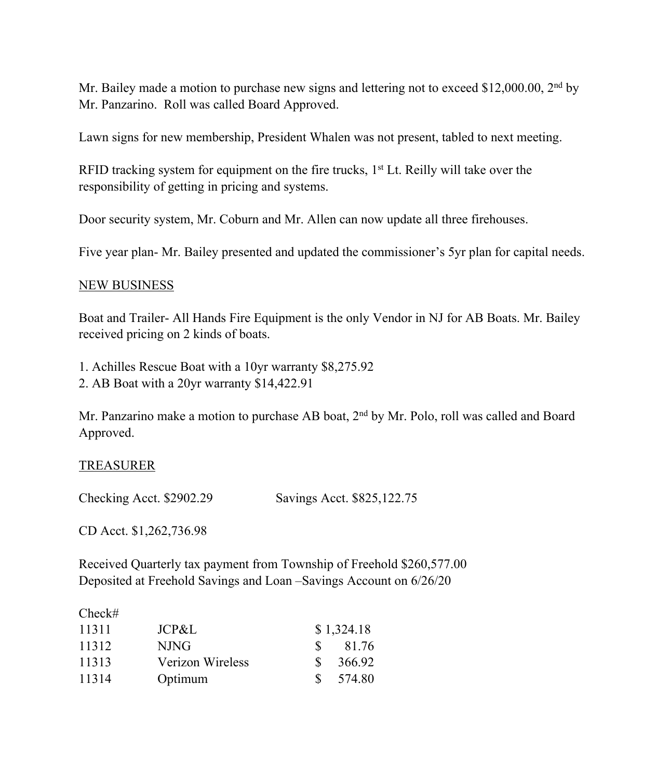Mr. Bailey made a motion to purchase new signs and lettering not to exceed \$12,000.00, 2<sup>nd</sup> by Mr. Panzarino. Roll was called Board Approved.

Lawn signs for new membership, President Whalen was not present, tabled to next meeting.

RFID tracking system for equipment on the fire trucks,  $1<sup>st</sup>$  Lt. Reilly will take over the responsibility of getting in pricing and systems.

Door security system, Mr. Coburn and Mr. Allen can now update all three firehouses.

Five year plan- Mr. Bailey presented and updated the commissioner's 5yr plan for capital needs.

#### NEW BUSINESS

Boat and Trailer- All Hands Fire Equipment is the only Vendor in NJ for AB Boats. Mr. Bailey received pricing on 2 kinds of boats.

1. Achilles Rescue Boat with a 10yr warranty \$8,275.92 2. AB Boat with a 20yr warranty \$14,422.91

Mr. Panzarino make a motion to purchase AB boat, 2<sup>nd</sup> by Mr. Polo, roll was called and Board Approved.

#### TREASURER

Checking Acct. \$2902.29 Savings Acct. \$825,122.75

CD Acct. \$1,262,736.98

Received Quarterly tax payment from Township of Freehold \$260,577.00 Deposited at Freehold Savings and Loan –Savings Account on 6/26/20

#### Check#

| 11311 | JCP&L            |               | \$1,324.18 |
|-------|------------------|---------------|------------|
| 11312 | N.ING            | S.            | 81.76      |
| 11313 | Verizon Wireless | S.            | 366.92     |
| 11314 | Optimum          | $\mathcal{L}$ | 574.80     |